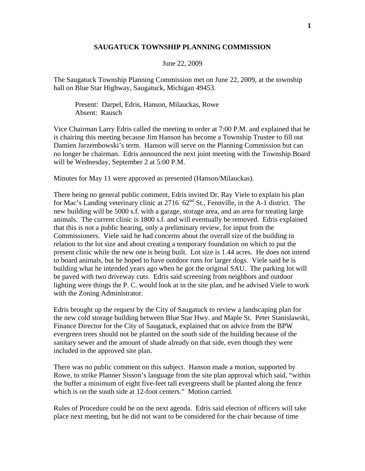## **SAUGATUCK TOWNSHIP PLANNING COMMISSION**

## June 22, 2009

The Saugatuck Township Planning Commission met on June 22, 2009, at the township hall on Blue Star Highway, Saugatuck, Michigan 49453.

 Present: Darpel, Edris, Hanson, Milauckas, Rowe Absent: Rausch

Vice Chairman Larry Edris called the meeting to order at 7:00 P.M. and explained that he is chairing this meeting because Jim Hanson has become a Township Trustee to fill out Damien Jarzembowski's term. Hanson will serve on the Planning Commission but can no longer be chairman. Edris announced the next joint meeting with the Township Board will be Wednesday, September 2 at 5:00 P.M.

Minutes for May 11 were approved as presented (Hanson/Milauckas).

There being no general public comment, Edris invited Dr. Ray Viele to explain his plan for Mac's Landing veterinary clinic at 2716 62<sup>nd</sup> St., Fennville, in the A-1 district. The new building will be 5000 s.f. with a garage, storage area, and an area for treating large animals. The current clinic is 1800 s.f. and will eventually be removed. Edris explained that this is not a public hearing, only a preliminary review, for input from the Commissioners. Viele said he had concerns about the overall size of the building in relation to the lot size and about creating a temporary foundation on which to put the present clinic while the new one is being built. Lot size is 1.44 acres. He does not intend to board animals, but he hoped to have outdoor runs for larger dogs. Viele said he is building what he intended years ago when he got the original SAU. The parking lot will be paved with two driveway cuts. Edris said screening from neighbors and outdoor lighting were things the P. C. would look at in the site plan, and he advised Viele to work with the Zoning Administrator.

Edris brought up the request by the City of Saugatuck to review a landscaping plan for the new cold storage building between Blue Star Hwy. and Maple St. Peter Stanislawski, Finance Director for the City of Saugatuck, explained that on advice from the BPW evergreen trees should not be planted on the south side of the building because of the sanitary sewer and the amount of shade already on that side, even though they were included in the approved site plan.

There was no public comment on this subject. Hanson made a motion, supported by Rowe, to strike Planner Sisson's language from the site plan approval which said, "within the buffer a minimum of eight five-feet tall evergreens shall be planted along the fence which is on the south side at 12-foot centers." Motion carried.

Rules of Procedure could be on the next agenda. Edris said election of officers will take place next meeting, but he did not want to be considered for the chair because of time